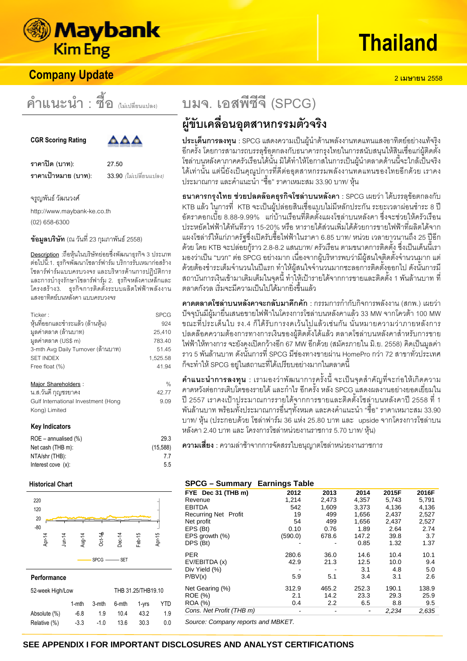

# **Company Update**

**คำแนะนำ : ซื้อ (ไม่เปลี่ยนแปลง)** 





**/23 (4): 27.50 ราคาเป้าหมาย (บาท)**: 33.90 *(*ใ

ม่เปลี่ยนแปลง)

จรูญพันธ์ วัฒนวงศ์  $\ddot{\phantom{a}}$ 

http://www.maybank-ke.co.th (02) 658-6300

**ข้อมูลบริษัท** (ณ วันที่ 23 กุมภาพันธ์ 2558)

<u>Description</u> :ถือหุ้นในบริษัทย่อยซึ่งพัฒนาธุรกิจ 3 ประเภท ต่อไปนี้:1. ธุรกิจพัฒนาโซลาร์ฟาร์ม บริการรับเหมาก่อสร้าง โซลาร์ฟาร์มแบบครบวงจร และบริหารด้านการปฏิบัติการ และการบำรุงรักษาโซลาร์ฟาร์ม 2. ธุรกิจหลังคาเหล็กและ โครงสร้าง3. ธุรกิจการติดตั้งระบบผลิตไฟฟ้าพลังงาน แสงอาทิตย์บนหลังคา แบบครบวงจร

| Ticker:                             | <b>SPCG</b> |
|-------------------------------------|-------------|
| หุ้นที่ออกและชำระแล้ว (ล้านหุ้น)    | 924         |
| มูลค่าตลาด (ล้านบาท)                | 25,410      |
| มูลค่าตลาด (US\$ m)                 | 783.40      |
| 3-mth Avg Daily Turnover (ด้านบาท)  | 51.45       |
| <b>SET INDEX</b>                    | 1,525.58    |
| Free float (%)                      | 41.94       |
| Major Shareholders :                | $\%$        |
| น.ส.วันดี กุญชรยาคง                 | 42.77       |
| Gulf International Investment (Hong | 9.09        |
| Kong) Limited                       |             |
| <b>Key Indicators</b>               |             |
| $ROE - annualised (%)$              | 29.3        |
| Net cash (THB m):                   | (15, 588)   |
| NTA/shr (THB):                      | 7.7         |
| Interest cove $(x)$ :               | 5.5         |
| Historical Chart                    |             |
| 220                                 |             |



#### **Performance**

| 52-week High/Low |        | THB 31.25/THB19.10 |       |       |     |
|------------------|--------|--------------------|-------|-------|-----|
|                  | 1-mth  | 3-mth              | 6-mth | 1-vrs | YTD |
| Absolute (%)     | $-6.8$ | 19                 | 104   | 432   | 19  |
| Relative (%)     | $-3.3$ | $-10$              | 13.6  | 30.3  | 0.0 |

 $SPCG$  SET

# **) . - ! (SPCG)** ผู้ขับเคลื่อนอุตสาหกรรมตัวจริง

**ประเด็นการลงทุน** : SPCG แสดงความเป็นผู้นำด้านพลังงานทดแทนแสงอาทิตย์อย่างแท้จริง ้อีกครั้ง โดยการสามารถบรรลุข้อตกลงกับธนาคารกรุงไทยในการสนับสนุนให้สินเชื่อแก่ผู้ติดตั้ง โซล่าบนูหลังคาภาคครัวเรือนได้นั้น มิได้ทำให้โอกาสในการเป็นผู้นำตลาดด้านนี้จะใกล้เป็นจริง ได้เท่านั้น แต่นี่ยังเป็นคุณูปการที่ดีต่ออุตสาหกรรมพลังงานทดแทนของไทยอีกด้วย เราคง ประมาณการ และคำแนะนำ "ซื้อ" ราคาเหมะสม 33.90 บาท/ หุ้น

ธ**นาคารกรุงไทย ช่วยปลดล๊อคธุรกิจโซล่าบนหลังคา** : SPCG เผยว่า ได้บรรลุข้อตกลงกับ KTB แล้ว ในการที่ KTB จะเป็นผู้ปล่อยสินเชื่อแบบไม่มีหลักประกัน ระยะเวลาผ่อนชำระ 8 ปี อัตราดอกเบี้ย 8.88-9.99% แก่บ้านเรือนที่ติดตั้งแผงโซล่าบนหลังคา ซึ่งจะช่วยให้ครัวเรือน ประหยัดไฟฟ้าได้ทันทีราฺว 15-20% หรือ หารายได้ส่วนเพิ่มได้ด้วยการขายไฟฟ้าที่ผลิตได้จาก แผงโซล่าร์ให้แก่ภาครัฐซึ่งเปิดรับซื้อไฟฟ้าในราคา 6.85 บาท/ หน่วย เวลายาวนานถึง 25 ปีอีก ด้วย โดย KTB จะปล่อยกู้ราว 2.8-8.2 แสนบาท/ ครัวเรือน ตามขนาดการติดตั้ง ซึ่งเป็นเด็นนี้เรา มองว่าเป็น "บวก" ต่อ SPCG อย่างมาก เนื่องจากผู้บริหารพบว่ามีผู้สนใจติดตั้งจำนวนมาก แต่ ด้วยต้องชำระเต็มจำนวนในปีแรก ทำให้ผู้สนใจจำนวนมากชะลอการติดตั้งออกไป ดังนั้นการมี สถาบันการเงินเข้ามาเติมเต็มในจุดนี้ ทำให้เป้ารายได้จากการขายและติดตั้ง 1 พันล้านบาท ที่ ตลาดกังวล เริ่มจะมีความเป็นไปได้มากยิ่งขึ้นแล้ว

<mark>คาดตลาดโซล่าบนหลังคาจะกลับมาคึกคัก</mark> : กรรมการกำกับกิจการพลังงาน (สกพ.) เผยว่า ปัจจุบันมีผู้มายื่นเสนอขายไฟฟ้าในโครงการโซล่าบนหลังคาแล้ว 33 MW จากโควต้า 100 MW ขณะที่ประเด็นใบ รง.4 ก็ได้รับการงดเว้นไปแล้วเช่นกัน นั่นหมายความว่าภายหลังการ ปลดล๊อคความต้องการทางการเงินของผู้ติดตั้งได้แล้ว ตลาดโซล่าบนหลังคาสำหรับการขาย ไฟฟ้าให้ทางการ จะยังคงเปิดกว้างอีก 67 MW อีกด้วย (สมัครภายใน มิ.ย. 2558) คิดเป็นมูลค่า ิ ราว 5 พันล้านบาท ดังนั้นการที่ SPCG มีช่องทางขายผ่าน HomePro กว่า 72 สาขาทั่วประเทศ ก็จะทำให้ SPCG อยู่ในสถานะที่ได้เปรียบอย่างมากในตลาดนี้

**คำแนะนำการลงทุน** : เรามองว่าพัฒนาการุครั้งนี้ จะเป็นจุดสำคัญที่จะก่อให้เกิดความ คาดหวังต่อการเติบโตของรายได้ และกำไร อีกครั้ง หลัง SPCG แสดงผลงานอย่างยอดเยี่ยมใน ปี 2557 เราคงเป้าปูระมาณการรายได้จากการขายและติดตั้งโซล่าบนหลังคาปี 2558 ที่ 1 พันล้านบาท พร้อมทั้งประมาณการอื่นๆทั้งหมด และคงคำแนะนำ "ซื้อ" ราคาเหมาะสม 33.90 บาท/ หุ้น (ประกอบด้วย โซล่าฟาร์ม 36 แห่ง 25.80 บาท และ upside จากโครงการโซล่าบน หลังคา 2.40 บาท และ โครงการโซล่าหน่วยงานราชการ 5.70 บาท/ หุ้น)

**ความเสี่ยง** : ความล่าช้าจากการจัดสรรใบอนุญาตโซล่าหน่วยงานราชการ

# **SPCG – Summary Earnings Table**

| FYE Dec 31 (THB m)          | 2012    | 2013  | 2014  | 2015F | 2016F |
|-----------------------------|---------|-------|-------|-------|-------|
| Revenue                     | 1,214   | 2,473 | 4,357 | 5,743 | 5,791 |
| <b>EBITDA</b>               | 542     | 1,609 | 3.373 | 4.136 | 4,136 |
| <b>Recurring Net Profit</b> | 19      | 499   | 1.656 | 2.437 | 2,527 |
| Net profit                  | 54      | 499   | 1,656 | 2,437 | 2,527 |
| EPS (Bt)                    | 0.10    | 0.76  | 1.89  | 2.64  | 2.74  |
| EPS growth (%)              | (590.0) | 678.6 | 147.2 | 39.8  | 3.7   |
| DPS (Bt)                    |         |       | 0.85  | 1.32  | 1.37  |
| PER                         | 280.6   | 36.0  | 14.6  | 10.4  | 10.1  |
| EV/EBITDA (x)               | 42.9    | 21.3  | 12.5  | 10.0  | 9.4   |
| Div Yield (%)               |         |       | 3.1   | 4.8   | 5.0   |
| P/BV(x)                     | 5.9     | 5.1   | 3.4   | 3.1   | 2.6   |
| Net Gearing (%)             | 312.9   | 465.2 | 252.3 | 190.1 | 138.9 |
| ROE (%)                     | 2.1     | 14.2  | 23.3  | 29.3  | 25.9  |
| <b>ROA</b> (%)              | 0.4     | 2.2   | 6.5   | 8.8   | 9.5   |
| Cons. Net Profit (THB m)    |         |       |       | 2,234 | 2,635 |
|                             |         |       |       |       |       |

Source: Company reports and MBKET.

**2558**

# **SEE APPENDIX I FOR IMPORTANT DISCLOSURES AND ANALYST CERTIFICATIONS**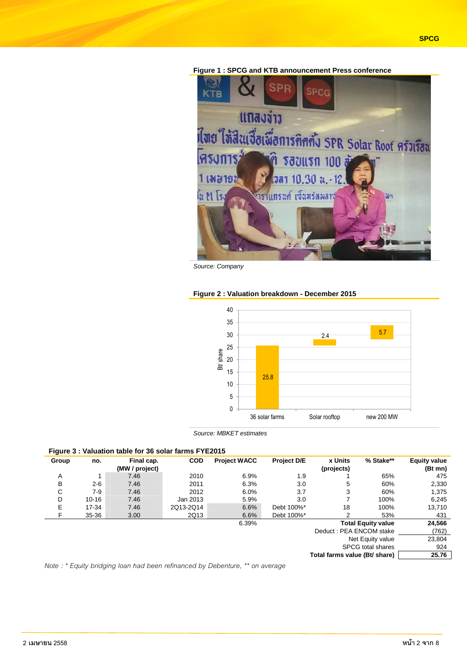

**Figure 1 : SPCG and KTB announcement Press conference** 

Source: Company

#### **Figure 2 : Valuation breakdown - December 2015**



Source: MBKET estimates

# **Figure 3 : Valuation table for 36 solar farms FYE2015**

| Group                              | no.       | Final cap.<br>(MW / project) | <b>COD</b> | <b>Project WACC</b> | <b>Project D/E</b> | <b>x</b> Units<br>(projects)  | % Stake** | <b>Equity value</b><br>(Bt mn) |
|------------------------------------|-----------|------------------------------|------------|---------------------|--------------------|-------------------------------|-----------|--------------------------------|
| A                                  |           | 7.46                         | 2010       | 6.9%                | 1.9                |                               | 65%       | 475                            |
| B                                  | $2 - 6$   | 7.46                         | 2011       | 6.3%                | 3.0                | 5                             | 60%       | 2,330                          |
| С                                  | $7-9$     | 7.46                         | 2012       | 6.0%                | 3.7                | 3                             | 60%       | 1,375                          |
| D                                  | $10 - 16$ | 7.46                         | Jan 2013   | 5.9%                | 3.0                |                               | 100%      | 6,245                          |
| Е                                  | 17-34     | 7.46                         | 2Q13-2Q14  | 6.6%                | Debt 100%*         | 18                            | 100%      | 13,710                         |
| F                                  | 35-36     | 3.00                         | 2Q13       | 6.6%                | Debt 100%*         | 2                             | 53%       | 431                            |
| <b>Total Equity value</b><br>6.39% |           |                              |            |                     |                    |                               |           | 24,566                         |
| Deduct: PEA ENCOM stake            |           |                              |            |                     |                    |                               |           | (762)                          |
| Net Equity value                   |           |                              |            |                     |                    |                               |           | 23,804                         |
| <b>SPCG</b> total shares           |           |                              |            |                     |                    |                               | 924       |                                |
|                                    |           |                              |            |                     |                    | Total farms value (Bt/ share) |           | 25.76                          |

*Note : \* Equity bridging loan had been refinanced by Debenture, \*\* on average*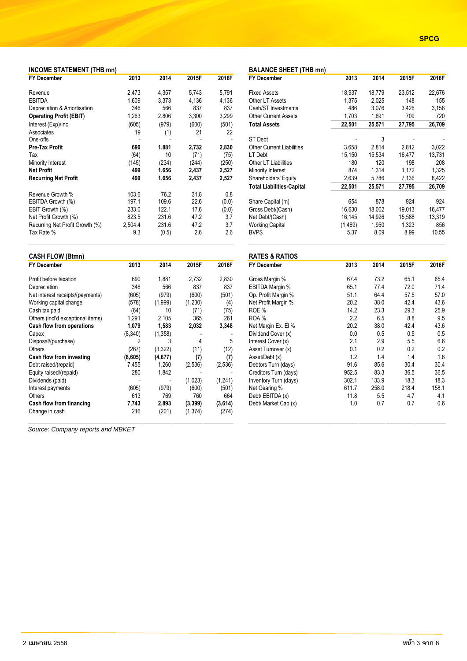| Change in cash                    | 216 | (201) | (1, 374) | (274) |
|-----------------------------------|-----|-------|----------|-------|
| Source: Company reports and MBKET |     |       |          |       |
|                                   |     |       |          |       |
|                                   |     |       |          |       |
|                                   |     |       |          |       |
|                                   |     |       |          |       |
|                                   |     |       |          |       |
|                                   |     |       |          |       |
|                                   |     |       |          |       |
|                                   |     |       |          |       |

| Depreciation & Amortisation     | 346     | 566   | 837   | 837   |  |
|---------------------------------|---------|-------|-------|-------|--|
| <b>Operating Profit (EBIT)</b>  | 1,263   | 2,806 | 3,300 | 3,299 |  |
| Interest (Exp)/Inc              | (605)   | (979) | (600) | (501) |  |
| Associates                      | 19      | (1)   | 21    | 22    |  |
| One-offs                        |         |       |       |       |  |
| Pre-Tax Profit                  | 690     | 1.881 | 2,732 | 2,830 |  |
| Tax                             | (64)    | 10    | (71)  | (75)  |  |
| Minority Interest               | (145)   | (234) | (244) | (250) |  |
| Net Profit                      | 499     | 1,656 | 2,437 | 2,527 |  |
| <b>Recurring Net Profit</b>     | 499     | 1,656 | 2,437 | 2,527 |  |
| Revenue Growth %                | 103.6   | 76.2  | 31.8  | 0.8   |  |
| EBITDA Growth (%)               | 197.1   | 109.6 | 22.6  | (0.0) |  |
| EBIT Growth (%)                 | 233.0   | 122.1 | 17.6  | (0.0) |  |
| Net Profit Growth (%)           | 823.5   | 231.6 | 47.2  | 3.7   |  |
| Recurring Net Profit Growth (%) | 2.504.4 | 231.6 | 47.2  | 3.7   |  |

| <b>INCOME STATEMENT (THB mn)</b>  |         |          |         |                |                                  | <b>BALANCE SHEET (THB mn)</b> |        |        |        |  |
|-----------------------------------|---------|----------|---------|----------------|----------------------------------|-------------------------------|--------|--------|--------|--|
| <b>FY December</b>                | 2013    | 2014     | 2015F   | 2016F          | <b>FY December</b>               | 2013                          | 2014   | 2015F  | 2016F  |  |
| Revenue                           | 2,473   | 4,357    | 5.743   | 5.791          | <b>Fixed Assets</b>              | 18,937                        | 18.779 | 23,512 | 22,676 |  |
| <b>EBITDA</b>                     | 1,609   | 3,373    | 4,136   | 4,136          | Other LT Assets                  | 1,375                         | 2,025  | 148    | 155    |  |
| Depreciation & Amortisation       | 346     | 566      | 837     | 837            | Cash/ST Investments              | 486                           | 3,076  | 3,426  | 3,158  |  |
| <b>Operating Profit (EBIT)</b>    | 1,263   | 2,806    | 3,300   | 3,299          | <b>Other Current Assets</b>      | 1,703                         | 1,691  | 709    | 720    |  |
| Interest (Exp)/Inc                | (605)   | (979)    | (600)   | (501)          | <b>Total Assets</b>              | 22,501                        | 25,571 | 27,795 | 26,709 |  |
| Associates                        | 19      | (1)      | 21      | 22             |                                  |                               |        |        |        |  |
| One-offs                          |         |          |         | $\overline{a}$ | <b>ST Debt</b>                   |                               | 3      |        |        |  |
| Pre-Tax Profit                    | 690     | 1,881    | 2,732   | 2,830          | <b>Other Current Liabilities</b> | 3,658                         | 2,814  | 2,812  | 3,022  |  |
| Tax                               | (64)    | 10       | (71)    | (75)           | LT Debt                          | 15,150                        | 15,534 | 16,477 | 13,731 |  |
| Minority Interest                 | (145)   | (234)    | (244)   | (250)          | Other LT Liabilities             | 180                           | 120    | 198    | 208    |  |
| <b>Net Profit</b>                 | 499     | 1,656    | 2,437   | 2,527          | Minority Interest                | 874                           | 1,314  | 1,172  | 1,325  |  |
| <b>Recurring Net Profit</b>       | 499     | 1,656    | 2,437   | 2,527          | Shareholders' Equity             | 2,639                         | 5,786  | 7,136  | 8,422  |  |
|                                   |         |          |         |                | <b>Total Liabilities-Capital</b> | 22,501                        | 25,571 | 27,795 | 26,709 |  |
| Revenue Growth %                  | 103.6   | 76.2     | 31.8    | 0.8            |                                  |                               |        |        |        |  |
| EBITDA Growth (%)                 | 197.1   | 109.6    | 22.6    | (0.0)          | Share Capital (m)                | 654                           | 878    | 924    | 924    |  |
| EBIT Growth (%)                   | 233.0   | 122.1    | 17.6    | (0.0)          | Gross Debt/(Cash)                | 16,630                        | 18,002 | 19,013 | 16,477 |  |
| Net Profit Growth (%)             | 823.5   | 231.6    | 47.2    | 3.7            | Net Debt/(Cash)                  | 16,145                        | 14,926 | 15,588 | 13,319 |  |
| Recurring Net Profit Growth (%)   | 2,504.4 | 231.6    | 47.2    | 3.7            | <b>Working Capital</b>           | (1, 469)                      | 1,950  | 1,323  | 856    |  |
| Tax Rate %                        | 9.3     | (0.5)    | 2.6     | 2.6            | <b>BVPS</b>                      | 5.37                          | 8.09   | 8.99   | 10.55  |  |
| <b>CASH FLOW (Btmn)</b>           |         |          |         |                | <b>RATES &amp; RATIOS</b>        |                               |        |        |        |  |
| <b>FY December</b>                | 2013    | 2014     | 2015F   | 2016F          | <b>FY December</b>               | 2013                          | 2014   | 2015F  | 2016F  |  |
| Profit before taxation            | 690     | 1,881    | 2,732   | 2,830          | Gross Margin %                   | 67.4                          | 73.2   | 65.1   | 65.4   |  |
| Depreciation                      | 346     | 566      | 837     | 837            | EBITDA Margin %                  | 65.1                          | 77.4   | 72.0   | 71.4   |  |
| Net interest receipts/(payments)  | (605)   | (979)    | (600)   | (501)          | Op. Profit Margin %              | 51.1                          | 64.4   | 57.5   | 57.0   |  |
| Working capital change            | (578)   | (1,999)  | (1,230) | (4)            | Net Profit Margin %              | 20.2                          | 38.0   | 42.4   | 43.6   |  |
| Cash tax paid                     | (64)    | 10       | (71)    | (75)           | ROE %                            | 14.2                          | 23.3   | 29.3   | 25.9   |  |
| Others (incl'd exceptional items) | 1,291   | 2,105    | 365     | 261            | ROA %                            | 2.2                           | 6.5    | 8.8    | 9.5    |  |
| Cash flow from operations         | 1,079   | 1,583    | 2,032   | 3,348          | Net Margin Ex. El %              | 20.2                          | 38.0   | 42.4   | 43.6   |  |
| Capex                             | (8,340) | (1,358)  |         |                | Dividend Cover (x)               | 0.0                           | 0.5    | 0.5    | 0.5    |  |
| Disposal/(purchase)               | 2       | 3        | 4       | 5              | Interest Cover (x)               | 2.1                           | 2.9    | 5.5    | 6.6    |  |
| Others                            | (267)   | (3, 322) | (11)    | (12)           | Asset Turnover (x)               | 0.1                           | 0.2    | 0.2    | 0.2    |  |
| Cash flow from investing          | (8,605) | (4, 677) | (7)     | (7)            | Asset/Debt (x)                   | 1.2                           | 1.4    | 1.4    | 1.6    |  |
| Debt raised/(repaid)              | 7,455   | 1,260    | (2,536) | (2,536)        | Debtors Turn (days)              | 91.6                          | 85.6   | 30.4   | 30.4   |  |
| Equity raised/(repaid)            | 280     | 1,842    |         |                | Creditors Turn (days)            | 952.5                         | 83.3   | 36.5   | 36.5   |  |
| Dividends (paid)                  |         |          | (1,023) | (1, 241)       | Inventory Turn (days)            | 302.1                         | 133.9  | 18.3   | 18.3   |  |

Dividends (paid) - - (1,023) (1,241) Inventory Turn (days) 302.1 133.9 18.3 18.3<br>
Interest payments (605) (979) (600) (501) Net Gearing % 611.7 258.0 218.4 158.1 Interest payments (605) (979) (600) (501) Net Gearing % 611.7 258.0 218.4 158.1 Others 613 769 760 664 Debt/ EBITDA (x) 11.8 5.5 4.7 4.1 **Cash flow from financing 7,743 2,893 (3,399) (3,614)** Debt/ Market Cap (x) 1.0 0.7 0.7 0.6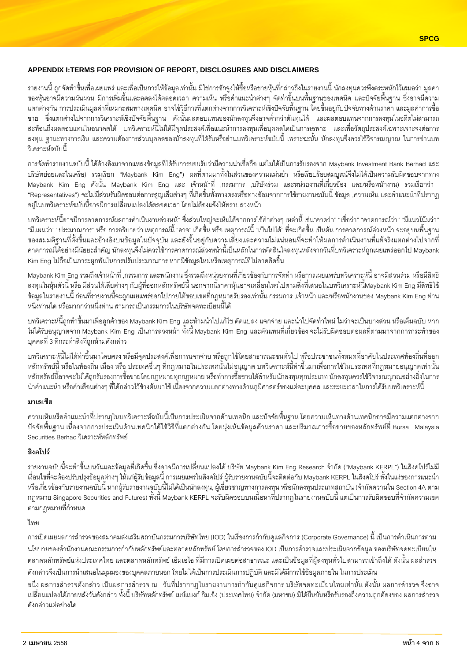### APPENDIX I:TERMS FOR PROVISION OF REPORT, DISCLOSURES AND DISCLAIMERS

รายงานนี้ ถูกจัดทำขึ้นเพื่อเผยแพร่ และเพื่อเป็นการให้ข้อมูลเท่านั้น มิใช่การชักจูงให้ซื้อหรือขายหุ้นที่กล่าวถึงในรายงานนี้ นักลงทุนควรพึงตระหนักไว้เสมอว่า มูลค่า ของหุ้นอาจมีความผันผวน มีการเพิ่มขึ้นและลดลงได้ตลอดเวลา ความเห็น หรือคำแนะนำต่างๆ จัดทำขึ้นบนพื้นฐานของเทคนิค และปัจจัยพื้นฐาน ซึ่งอาจมีความ ้แตกต่างกัน การประเมินมูลค่าที่เหมาะสมทางเทคนิค อาจใช้วิธีการที่แตกต่างจากการวิเคราะห์เชิงปัจจัยพื้นฐาน โดยขึ้นอยู่กับปัจจัยทางด้านราคา และมูลค่าการซื้อ ขาย ซึ่งแตกต่างไปจากการวิเคราะห์เชิงปัจจัยพื้นฐาน ดังนั้นผลตอบแทนของนักลงทุนจึงอาจต่ำกว่าต้นทุนได้ และผลตอบแทนจากการลงทุนในอดีตไม่สามารถ ี สะท้อนถึงผลตอบแทนในอนาคตได้ บทวิเคราะห์นี้ไม่ได้มีจุดประสงค์เพื่อแนะนำการลงทุนเพื่อบุคคลใดเป็นการเฉพาะ และเพื่อวัตถุประสงค์เฉพาะเจาะจงต่อการ ้ลงทุน ฐานะทางการเงิน และความต้องการส่วนบุคคลของนักลงทุนที่ได้รับหรืออ่านบทวิเคราะห์ฉบับนี้ เพราะฉะนั้น นักลงทุนจึงควรใช้วิจารณญาณ ในการอ่านบท วิเคราะห์ฉบับนี้

การจัดทำรายงานฉบับนี้ ได้อ้างอิงมาจากแหล่งข้อมูลที่ได้รับการยอมรับว่ามีความน่าเชื่อถือ แต่ไม่ได้เป็นการรับรองจาก Maybank Investment Bank Berhad และ ิบริษัทย่อยและในเครือ) รวมเรียก "Maybank Kim Eng") ผลที่ตามมาทั้งในส่วนของความแม่นยำ หรือเรียบร้อยสมบูรณ์จึงไม่ได้เป็นความรับผิดชอบจากทาง Maybank Kim Eng ดังนั้น Maybank Kim Eng และ เจ้าหน้าที่ ,กรรมการ ,บริษัทร่วม และหน่วยงานที่เกี่ยวข้อง และ/หรือพนักงาน) รวมเรียกว่า "Representatives") จะไม่มีส่วนรับผิดชอบต่อการสูญเสียต่างๆ ที่เกิดขึ้นทั้งทางตรงหรือทางอ้อมจากการใช้รายงานฉบับนี้ ข้อมูล ,ความเห็น และคำแนะนำที่ปรากฦ ้อยในบทวิเคราะห์ฉบับนี้อาจมีการเปลี่ยนแปลงได้ตลอดเวลา โดยไม่ต้องแจ้งให้ทราบล่วงหน้า

้บทวิเคราะห์นี้อาจมีการคาดการณ์ผลการดำเนินงานล่วงหน้า ซึ่งส่วนใหญ่จะเห็นได้จากการใช้คำต่างๆ เหล่านี้ เช่น"คาดว่า" "เชื่อว่า" "คาดการณ์ว่า" "มีแนวโน้มว่า" "มีแผนว่า" "ประมาณการ" หรือ การอธิบายว่า เหตุการณ์นี้ "อาจ" เกิดขึ้น หรือ เหตุการณ์นี้ "เป็นไปได้" ที่จะเกิดขึ้น เป็นต้น การคาดการณ์ล่วงหน้า จะอยู่บนพื้นฐาน ของสมมติฐานที่ตั้งขึ้นและอ้างอิงบนข้อมูลในปัจจุบัน และยังขึ้นอยู่กับความเสี่ยงและความไม่แน่นอนที่จะทำให้ผลการดำเนินงานที่แท้จริงแตกต่างไปจากที่ ่ คาดการณ์ได้อย่างมีนัยยะสำคัญ นักลงทุนจึงไม่ควรใช้การคาดการณ์ล่วงหน้านี้เป็นหลักในการตัดสินใจลงทุนหลังจากวันที่บทวิเคราะห์ถูกเผยแพร่ออกไป Maybank Kim Eng ไม่ถือเป็นภาระผูกพันในการปรับประมาณการ หากมีข้อมูลใหม่หรือเหตุการณ์ที่ไม่คาดคิดขึ้น

Mavbank Kim Eng รวมถึงเจ้าหน้าที่ ,กรรมการ และพนักงาน ซึ่งรวมถึงหน่วยงานที่เกี่ยวข้องกับการจัดทำ หรือการเผยแพร่บทวิเคราะห์นี้ อาจมีส่วนร่วม หรือมีสิทธิ ็ลงทุนในหุ้นตัวนี้ หรือ มีส่วนได้เสียต่างๆ กับผู้ที่ออกหลักทรัพย์นี้ นอกจากนี้ราคาหุ้นอาจเคลื่อนไหวไปตามสิ่งที่เสนอในบทวิเคราะห์นี้Maybank Kim Eng มีสิทธิใช้ ข้อมูลในภายงานนี้ ก่อนที่ภายงานนี้จะถูกเผยแพร่ออกไปภายใต้ขอบเขตที่กฎหมายรับรองเท่านั้น กรรมการ ,เจ้าหน้า และ/หรือพนักงานของ Maybank Kim Eng ท่าน หนึ่งท่านใด หรือมากกว่าหนึ่งท่าน สามารถเป็นกรรมการในบริษัทจดทะเบียนนี้ได้

ิบทวิเคราะห์นี้ถูกทำขึ้นมาเพื่อลูกค้าของ Maybank Kim Eng และห้ามนำไปแก้ไข ดัดแปลง แจกจ่าย และนำไปจัดทำใหม่ ไม่ว่าจะเป็นบางส่วน หรือเต็มฉบับ หาก ้ไม่ได้รับอนุญาตจาก Maybank Kim Eng เป็นการล่วงหน้า ทั้งนี้ Maybank Kim Eng และตัวแทนที่เกี่ยวข้อง จะไม่รับผิดชอบต่อผลที่ตามมาจากการกระทำของ บคคลที่ 3 ที่กระทำสิ่งที่ถกห้ามดังกล่าว

้บทวิเคราะห์นี้ไม่ได้ทำขึ้นมาโดยตรง หรือมีจุดประสงค์เพื่อการแจกจ่าย หรือถูกใช้โดยสาธารณะชนทั่วไป หรือประชาชนทั้งหมดที่อาศัยในประเทศท้องถิ่นที่ออก หลักทรัพย์นี้ หรือในท้องถิ่น เมือง หรือ ประเทศอื่นๆ ที่กฎหมายในประเทศนั้นไม่อนุญาต บทวิเคราะห์นี้ทำขึ้นมาเพื่อการใช้ในประเทศที่กฎหมายอนุญาตเท่านั้น หลักทรัพย์นี้อาจจะไม่ได้ถูกรับรองการซื้อขายโดยกฎหมายทุกกฎหมาย หรือทำการซื้อขายได้สำหรับนักลงทุนทุกประเภท นักลงทุนควรใช้วิจารณญาณอย่างยิ่งในการ นำคำแนะนำ หรือคำเตือนต่างๆ ที่ได้กล่าวไว้ข้างต้นมาใช้ เนื่องจากความแตกต่างทางด้านภูมิศาสตร์ของแต่ละบุคคล และระยะเวลาในการได้รับบทวิเคราะห์นี้

#### มาเลเซีย

้ความเห็นหรือคำแนะนำที่ปรากฦในบทวิเคราะห์ฉบับนี้เป็นการประเมินจากด้านเทคนิก และปัจจัยพื้นฐาน โดยความเห็นทางด้านเทคนิกอาจมีความแตกต่างจาก ่ ปัจจัยพื้นฐาน เนื่องจากการประเมินด้านเทคนิกได้ใช้วิธีที่แตกต่างกัน โดยมุ่งเน้นข้อมูลด้านราคา และปริมาณการซื้อขายของหลักทรัพย์ที่ Bursa Malaysia Securities Berhad วิเคราะห์หลักทรัพย์

# สิงคโปร์

ิ รายงานฉบับนี้จะทำขึ้นบนวันและข้อมูลที่เกิดขึ้น ซึ่งอาจมีการเปลี่ยนแปลงได้ บริษัท Maybank Kim Eng Research จำกัด ("Maybank KERPL") ในสิงคโปร์ไม่มี เงื่อนไขที่จะต้องปรับปรุงข้อมูลต่างๆ ให้แก่ผู้รับข้อมูลนี้ การเผยแพร่ในสิงคโปร์ ผู้รับรายงานฉบับนี้จะติดต่อกับ Maybank KERPL ในสิงคโปร์ ทั้งในแง่ของการแนะนำ หรือเกี่ยวข้องกับรายงานฉบับนี้ หากผู้รับรายงานฉบับนี้ไม่ได้เป็นนักลงทุน, ผู้เชี่ยวชาญทางการลงทุน หรือนักลงทุนประเภทสถาบัน (จำกัดความใน Section 4A ตาม ึกภูหมาย Singapore Securities and Futures) ทั้งนี้ Maybank KERPL จะรับผิดชอบบนเนื้อหาที่ปรากภูในรายงานฉบับนี้ แต่เป็นการรับผิดชอบที่จำกัดความเขต ตามกฎหมายที่กำหนด

# ไทย

การเปิดเผยผลการสำรวจของสมาคมส่งเสริมสถาบันกรรมการบริษัทไทย (IOD) ในเรื่องการกำกับดูแลกิจการ (Corporate Governance) นี้ เป็นการดำเนินการตาม นโยบายของสำนักงานคณะกรรมการกำกับหลักทรัพย์และตลาดหลักทรัพย์ โดยการสำรวจของ IOD เป็นการสำรวจและประเมินจากข้อมูล ของบริษัทจดทะเบียนใน ตลาดหลักทรัพย์แห่งประเทศไทย และตลาดหลักทรัพย์ เอ็มเอไอ ที่มีการเปิดเผยต่อสาธารณะ และเป็นข้อมูลที่ผู้ลงทุนทั่วไปสามารถเข้าถึงได้ ดังนั้น ผลสำรวจ ดังกล่าวจึงเป็นการนำเสนอในมุมมองของบุคคลภายนอก โดยไม่ได้เป็นการประเมินการปฏิบัติ และมิได้มีการใช้ข้อมูลภายใน ในการประเมิน

ึอนึ่ง ผลการสำรวจดังกล่าว เป็นผลการสำรวจ ณ วันที่ปรากกฎในรายงานการกำกับดูแลกิจการ บริษัทจดทะเบียนไทยเท่านั้น ดังนั้น ผลการสำรวจ จึงอาจ เปลี่ยนแปลงได้ภายหลังวันดังกล่าว ทั้งนี้ บริษัทหลักทรัพย์ เมย์แบงก์ กิมเอ็ง (ประเทศไทย) จำกัด (มหาชน) มิได้ยืนยันหรือรับรองถึงความถูกต้องของ ผลการสำรวจ ดังกล่าวแต่คย่างใด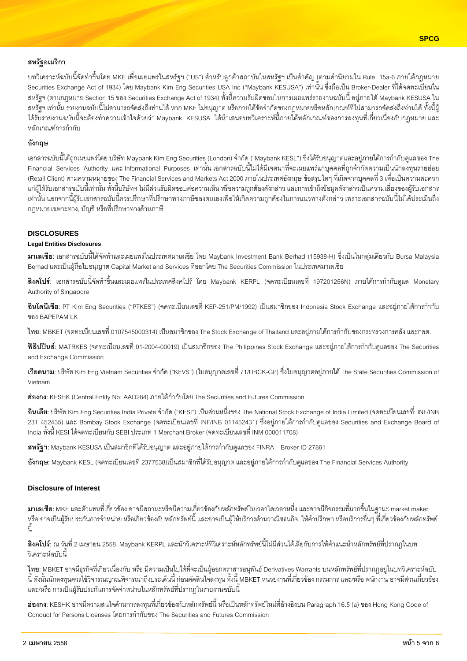# **สหรัฐอเมริกา**

บทวิเคราะห์ฉบับนี้จัดทำขึ้นโดย MKE เพื่อเผยแพร่ในสหรัฐฯ ("US") สำหรับลูกค้าสถาบันในสหรัฐฯ เป็นสำคัญ (ตามคำนิยามใน Rule 15a-6 ภายใต้กฎหมาย Securities Exchange Act of 1934) โดย Maybank Kim Eng Securities USA Inc ("Maybank KESUSA") เท่านั้น ซึ่งถือเป็น Broker-Dealer ที่ได้จดทะเบียนใน สหรัฐฯ (ตามกฎหมาย Section 15 ของ Securities Exchange Act of 1934) ทั้งนี้ความรับผิดชอบในการเผยแพร่รายงานฉบับนี้ อยู่ภายใต้ Maybank KESUSA ใน สหรัฐฯ เท่านั้น รายงานฉบับนี้ไม่สามารถจัดส่งถึงท่านได้ หาก MKE ไม่อนุญาต หรือภายใต้ข้อจำกัดของกฎหมายหรือหลักเกณฑ์ที่ไม่สามารถจัดส่งถึงท่านได้ ทั้งนี้ผู้ ได้รับรายงานฉบับนี้จะต้องทำความเข้าใจด้วยว่า Maybank KESUSA ได้นำเสนอบทวิเคราะห์นี้ภายใต้หลักเกณฑ์ของการลงทุนที่เกี่ยวเนื่องกับกฎหมาย และ หลักเกณฑ์การกำกับ

# ์ คังกถพ

เอกสารฉบับนี้ได้ถูกเผยแพร่โดย บริษัท Maybank Kim Eng Securities (London) จำกัด ("Maybank KESL") ซึ่งได้รับอนุญาตและอยู่ภายใต้การกำกับดูแลของ The Financial Services Authority และInformational Purposes เท่านั้นเอกสารฉบับนี้ไม่ได้มีเจตนาที่จะเผยแพร่แก่บุคคลที่ถูกจำกัดความเป็นนักลงทุนรายย่อย (Retail Client) ตามความหมายของ The Financial Services and Markets Act 2000 ภายในประเทศอังกฤษ ข้อสรุปใดๆ ที่เกิดจากบุคคลที่ 3 เพื่อเป็นความสะดวก แก่ผู้ได้รับเอกสารฉบับนี้เท่านั้น ทั้งนี้บริษัทฯ ไม่มีส่วนรับผิดชอบต่อความเห็น หรือความถูกต้องดังกล่าว และการเข้าถึงข้อมูลดังกล่าวเป็นความเสี่ยงของผู้รับเอกสาร เท่านั้น นอกจากนี้ผู้รับเอกสารฉบับนี้ควรปรึกษาที่ปรึกษาทางภาษีของตนเองเพื่อให้เกิดความถูกต้องในการแนวทางดังกล่าว เพราะเอกสารฉบับนี้ไม่ได้ประเมินถึง ึกภูหมายเฉพาะทาง, บัญชี หรือที่ปรึกษาทางด้านภาษี

#### **DISCLOSURES**

#### **Legal Entities Disclosures**

**มาเลเซีย**: เอกสารฉบับนี้ได้จัดทำและเผยแพร่ในประเทศมาเลเซีย โดย Maybank Investment Bank Berhad (15938-H) ซึ่งเป็นในกลุ่มเดียวกับ Bursa Malaysia Berhad และเป็นผู้ถือใบอนุญาต Capital Market and Services ที่ออกโดย The Securities Commission ในประเทศมาเลเซีย

**สิงคโปร์**: เอกสารฉบับนี้จัดทำขึ้นและเผยแพร่ในประเทศสิงคโปร์ โดย Maybank KERPL (จดทะเบียนเลขที่ 197201256N) ภายใต้การกำกับดูแล Monetary Authority of Singapore

**อินโดนีเซีย**: PT Kim Eng Securities ("PTKES") (จดทะเบียนเลขที่ KEP-251/PM/1992) เป็นสมาชิกของ Indonesia Stock Exchange และอยู่ภายใต้การกำกับ ของ BAPEPAM LK

**ไทย**: MBKET (จดทะเบียนเลขที่ 0107545000314) เป็นสมาชิกของ The Stock Exchange of Thailand และอยู่ภายใต้การกำกับของกระทรวงการคลัง และกลต.

**ฟิลิปปินส์**: MATRKES (จดทะเบียนเลขที่ 01-2004-00019) เป็นสมาชิกของ The Philippines Stock Exchange และอยู่ภายใต้การกำกับดูแลของ The Securities and Exchange Commission

**เวียดนาม:** บริษัท Kim Eng Vietnam Securities จำกัด ("KEVS") (ใบอนุญาตเลขที่ 71/UBCK-GP) ซึ่งใบอนุญาตอยู่ภายใต้ The State Securities Commission of Vietnam

ี**ฮ่องกง**: KESHK (Central Entity No: AAD284) ภายใต้กำกับโดย The Securities and Futures Commission

**อินเดีย**: บริษัท Kim Eng Securities India Private จำกัด ("KESI") เป็นส่วนหนึ่งของ The National Stock Exchange of India Limited (จดทะเบียนเลขที่: INF/INB 231 452435) และ Bombay Stock Exchange (จดทะเบียนเลขที่ INF/INB 011452431) ซึ่งอยู่ภายใต้การกำกับดูแลของ Securities and Exchange Board of India ทั้งนี้ KESI ได้จดทะเบียนกับ SEBI ประเภท 1 Merchant Broker (จดทะเบียนเลขที่ INM 000011708)

**สหรัฐฯ**: Maybank KESUSA เป็นสมาชิกที่ได้รับอนุญาต และอยู่ภายใต้การกำกับดูแลของ FINRA – Broker ID 27861

**อังกฤษ**: Maybank KESL (จดทะเบียนเลขที่ 2377538)เป็นสมาชิกที่ได้รับอนุญาต และอยู่ภายใต้การกำกับดูแลของ The Financial Services Authority

#### **Disclosure of Interest**

**มาเลเซีย**: MKE และตัวแทนที่เกี่ยวข้อง อาจมีสถานะหรือมีความเกี่ยวข้องกับหลักทรัพย์ในเวลาใดเวลาหนึ่ง และอาจมีกิจกรรมที่มากขึ้นในฐานะ market maker หรือ อาจเป็นผู้รับประกันการจำหน่าย หรือเกี่ยวข้องกับหลักทรัพย์นี้ และอาจเป็นผู้ให้บริการด้านวาณิชธนกิจ, ให้คำปรึกษา หรือบริการอื่นๆ ที่เกี่ยวข้องกับหลักทรัพย์  $\frac{2}{1}$ 

**สิงคโปร์**: ณ วันที่ 2 เมษายน 2558, Maybank KERPL และนักวิเคราะห์ที่วิเคราะห์หลักทรัพย์นี้ไม่มีส่วนได้เสียกับการให้คำแนะนำหลักทรัพย์ที่ปรากฏในบท วิเคราะห์ฉบับนี้

**ไทย**: MBKET อาจมีธุรกิจที่เกี่ยวเนื่องกับ หรือ มีความเป็นไปได้ที่จะเป็นผู้ออกตราสารอนุพันธ์ Derivatives Warrants บนหลักทรัพย์ที่ปรากฏอยู่ในบทวิเคราะห์ฉบับ นี้ ดังนั้นนักลงทุนควรใช้วิจารณญาณพิจารณาถึงประเด็นนี้ ก่อนตัดสินใจลงทุน ทั้งนี้ MBKET หน่วยงานที่เกี่ยวข้อง กรรมการ และ/หรือ พนักงาน อาจมีส่วนเกี่ยวข้อง และ/หรือ การเป็นผู้รับประกันการจัดจำหน่ายในหลักทรัพย์ที่ปรากฏในรายงานฉบับนี้

**ฮ่องกง:** KESHK อาจมีความสนใจด้านการลงทุนที่เกี่ยวข้องกับหลักทรัพย์นี้ หรือเป็นหลักทรัพย์ใหม่ที่อ้างอิงบน Paragraph 16.5 (a) ของ Hong Kong Code of Conduct for Persons Licenses โดยการกำกับของ The Securities and Futures Commission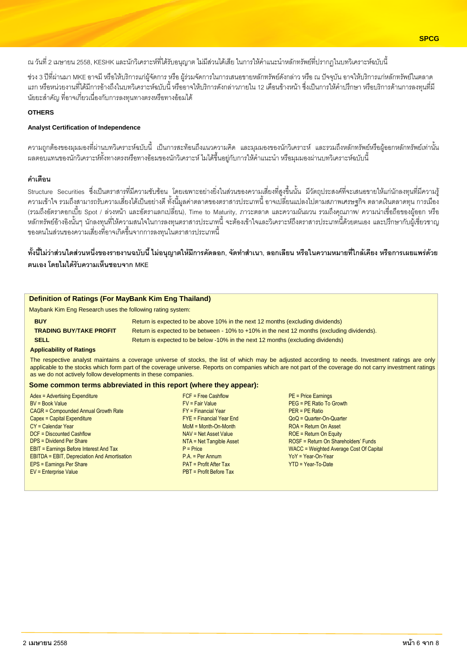ณ วันที่ 2 เมษายน 2558, KESHK และนักวิเคราะห์ที่ได้รับอนุญาต ไม่มีส่วนได้เสีย ในการให้คำแนะนำหลักทรัพย์ที่ปรากฏในบทวิเคราะห์ฉบับนี้

ช่วง 3 ปีที่ผ่านมา MKE อาจมี หรือให้บริการแก่ผู้จัดการ หรือ ผู้ร่วมจัดการในการเสนอขายหลักทรัพย์ดังกล่าว หรือ ณ ปัจจุบัน อาจให้บริการแก่หลักทรัพย์ในตลาด แรก หรือหน่วยงานที่ได้มีการอ้างถึงในบทวิเคราะห์ฉบับนี้ หรืออาจให้บริการดังกล่าวภายใน 12 เดือนข้างหน้า ซึ่งเป็นการให้คำปรึกษา หรือบริการด้านการลงทุนที่มี นัยยะสำคัญ ที่อาจเกี่ยวเนื่องกับการลงทุนทางตรงหรือทางอ้อมได้

#### **OTHERS**

#### **Analyst Certification of Independence**

้ความถกต้องของมมมองที่ผ่านบทวิเคราะห์ฉบับนี้ เป็นการสะท้อนถึงแนวความคิด และมุมมองของนักวิเคราะห์ และรวมถึงหลักทรัพย์หรือผู้ออกหลักทรัพย์เท่านั้น ้ ผลตอบแทนของนักวิเคราะห์ทั้งทางตรงหรือทางอ้อมของนักวิเคราะห์ ไม่ได้ขึ้นอยู่กับการให้คำแนะนำ หรือมุมมองผ่านบทวิเคราะห์ฉบับนี้

#### คำเตือน

Structure Securities ซึ่งเป็นตราสารที่มีความซับซ้อน โดยเฉพาะอย่างยิ่งในส่วนของความเสี่ยงที่สูงขึ้นนั้น มีวัตถุประสงค์ที่จะเสนอขายให้แก่นักลงทุนที่มีความรู้ ้ความเข้าใจ รวมถึงสามารถรับความเสี่ยงได้เป็นอย่างดี ทั้งนี้มูลค่าตลาดของตราสารประเภทนี้ อาจเปลี่ยนแปลงไปตามสภาพเศรษฐกิจ ตลาดเงินตลาดทุน การเมือง (รวมถึงอัตราดอกเบี้ย Spot / ล่วงหน้า และอัตราแลกเปลี่ยน), Time to Maturity, ภาวะตลาด และความผันผวน รวมถึงคุณภาพ/ ความน่าเชื่อถือของผู้ออก หรือ ของตนในส่วนของความเสี่ยงที่อาจเกิดขึ้นจากการลงทุนในตราสารประเภทนี้

# ทั้งนี้ไม่ว่าส่วนใดส่วนหนึ่งของรายงานฉบับนี้ ไม่อนุญาตให้มีการคัดลอก, จัดทำสำเนา, ลอกเลียน หรือในความหมายที่ใกล้เคียง หรือการเผยแพร่ด้วย ตนเคง โดยไม่ได้รับความเห็นชอบจาก MKF

| <b>Definition of Ratings (For MayBank Kim Eng Thailand)</b>                                                                                        |                                                                                                                                                                                                                                                                                                                                                                                  |                                                                                                                                |  |  |  |  |  |  |
|----------------------------------------------------------------------------------------------------------------------------------------------------|----------------------------------------------------------------------------------------------------------------------------------------------------------------------------------------------------------------------------------------------------------------------------------------------------------------------------------------------------------------------------------|--------------------------------------------------------------------------------------------------------------------------------|--|--|--|--|--|--|
|                                                                                                                                                    | Maybank Kim Eng Research uses the following rating system:                                                                                                                                                                                                                                                                                                                       |                                                                                                                                |  |  |  |  |  |  |
| <b>BUY</b>                                                                                                                                         | Return is expected to be above 10% in the next 12 months (excluding dividends)                                                                                                                                                                                                                                                                                                   |                                                                                                                                |  |  |  |  |  |  |
| <b>TRADING BUY/TAKE PROFIT</b>                                                                                                                     | Return is expected to be between - 10% to +10% in the next 12 months (excluding dividends).                                                                                                                                                                                                                                                                                      |                                                                                                                                |  |  |  |  |  |  |
| <b>SELL</b>                                                                                                                                        | Return is expected to be below -10% in the next 12 months (excluding dividends)                                                                                                                                                                                                                                                                                                  |                                                                                                                                |  |  |  |  |  |  |
| <b>Applicability of Ratings</b>                                                                                                                    |                                                                                                                                                                                                                                                                                                                                                                                  |                                                                                                                                |  |  |  |  |  |  |
|                                                                                                                                                    | The respective analyst maintains a coverage universe of stocks, the list of which may be adjusted according to needs. Investment ratings are only<br>applicable to the stocks which form part of the coverage universe. Reports on companies which are not part of the coverage do not carry investment ratings<br>as we do not actively follow developments in these companies. |                                                                                                                                |  |  |  |  |  |  |
|                                                                                                                                                    | Some common terms abbreviated in this report (where they appear):                                                                                                                                                                                                                                                                                                                |                                                                                                                                |  |  |  |  |  |  |
| Adex = Advertising Expenditure<br>$BV = Book Value$<br>CAGR = Compounded Annual Growth Rate<br>Capex = Capital Expenditure<br>$CY =$ Calendar Year | $FCF = Free Cashflow$<br>$FV = Fair Value$<br>$FY = Financial Year$<br>$FYE = Financial Year$ End<br>$M \circ M = M \circ h$ -Month                                                                                                                                                                                                                                              | $PE = Price Earnings$<br>PEG = PE Ratio To Growth<br>$PER = PE Ratio$<br>$QoQ =$ Quarter-On-Quarter<br>$ROA = Return On Asset$ |  |  |  |  |  |  |

**DCF = Discounted Cashflow DPS = Dividend Per Share EBIT = Earnings Before Interest And Tax EBITDA** = EBIT, Depreciation And Amortisation EPS = Earnings Per Share EV = Enterprise Value

NAV = Net Asset Value NTA = Net Tangible Asset  $D - Dirich$  $P.A. = Per Annum$ PAT = Profit After Tax PBT = Profit Before Tax

ROE = Return On Equity ROSF = Return On Shareholders' Funds WACC = Weighted Average Cost Of Capital  $YoY = Year-On-Year$ **YTD** = Year-To-Date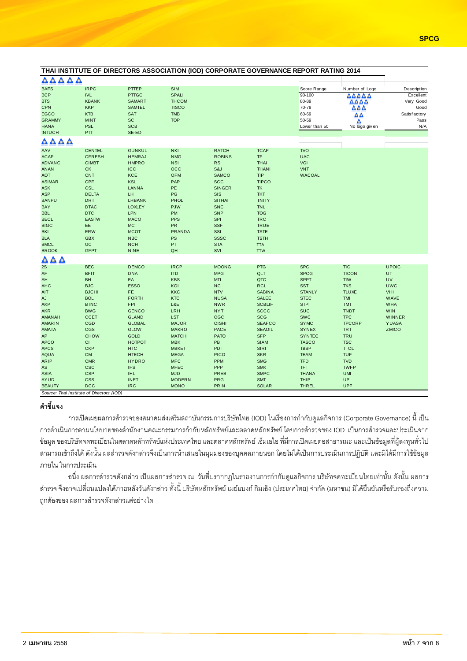|                                            |                                           |               |               |               |               | THAI INSTITUTE OF DIRECTORS ASSOCIATION (IOD) CORPORATE GOVERNANCE REPORT RATING 2014 |                                           |               |
|--------------------------------------------|-------------------------------------------|---------------|---------------|---------------|---------------|---------------------------------------------------------------------------------------|-------------------------------------------|---------------|
| AAAAA                                      |                                           |               |               |               |               |                                                                                       |                                           |               |
| <b>BAFS</b>                                | <b>IRPC</b>                               | PTTEP         | <b>SIM</b>    |               |               | Score Range                                                                           | Number of Logo                            | Description   |
| <b>BCP</b>                                 | <b>IVL</b>                                | <b>PTTGC</b>  | SPALI         |               |               | 90-100                                                                                | AAAAA                                     | Excellent     |
| <b>BTS</b>                                 | <b>KBANK</b>                              | <b>SAMART</b> | <b>THCOM</b>  |               |               | 80-89                                                                                 | $\triangle \triangle \triangle \triangle$ | Very Good     |
| CPN                                        | <b>KKP</b>                                | <b>SAMTEL</b> | <b>TISCO</b>  |               |               | 70-79                                                                                 | ΔΔΔ                                       | Good          |
| <b>EGCO</b>                                | <b>KTB</b>                                | <b>SAT</b>    | <b>TMB</b>    |               |               | 60-69                                                                                 | $\Delta \Delta$                           | Satisfactory  |
| <b>GRAMMY</b>                              | <b>MINT</b>                               | SC            | <b>TOP</b>    |               |               | 50-59                                                                                 |                                           | Pass          |
| <b>HANA</b>                                | <b>PSL</b>                                | <b>SCB</b>    |               |               |               | Lower than 50                                                                         | Δ<br>No logo giv en                       | N/A           |
| <b>INTUCH</b>                              | PTT                                       | SE-ED         |               |               |               |                                                                                       |                                           |               |
| AAAA                                       |                                           |               |               |               |               |                                                                                       |                                           |               |
| AAV                                        | <b>CENTEL</b>                             | <b>GUNKUL</b> | <b>NKI</b>    | <b>RATCH</b>  | <b>TCAP</b>   | <b>TVO</b>                                                                            |                                           |               |
| <b>ACAP</b>                                | <b>CFRESH</b>                             | <b>HEMRAJ</b> | <b>NMG</b>    | <b>ROBINS</b> | TF            | <b>UAC</b>                                                                            |                                           |               |
| <b>ADVANC</b>                              | <b>CIMBT</b>                              | <b>HMPRO</b>  | <b>NSI</b>    | RS            | <b>THAI</b>   | <b>VGI</b>                                                                            |                                           |               |
| <b>ANAN</b>                                | CK                                        | ICC           | $_{\rm occ}$  | S&J           | <b>THANI</b>  | <b>VNT</b>                                                                            |                                           |               |
| <b>AOT</b>                                 | <b>CNT</b>                                | <b>KCE</b>    | <b>OFM</b>    | <b>SAMCO</b>  | <b>TIP</b>    | <b>WACOAL</b>                                                                         |                                           |               |
| <b>ASIMAR</b>                              | CPF                                       | <b>KSL</b>    | PAP           | <b>SCC</b>    | <b>TIPCO</b>  |                                                                                       |                                           |               |
| <b>ASK</b>                                 | <b>CSL</b>                                | LANNA         | PE            | <b>SINGER</b> | TK            |                                                                                       |                                           |               |
|                                            | <b>DELTA</b>                              | LH.           | PG            | SIS           | <b>TKT</b>    |                                                                                       |                                           |               |
| <b>ASP</b><br><b>BANPU</b>                 | <b>DRT</b>                                |               |               |               |               |                                                                                       |                                           |               |
|                                            |                                           | <b>LHBANK</b> | PHOL          | <b>SITHAI</b> | <b>TNITY</b>  |                                                                                       |                                           |               |
| <b>BAY</b>                                 | <b>DTAC</b>                               | <b>LOXLEY</b> | <b>PJW</b>    | <b>SNC</b>    | <b>TNL</b>    |                                                                                       |                                           |               |
| <b>BBL</b>                                 | <b>DTC</b>                                | <b>LPN</b>    | PM            | <b>SNP</b>    | <b>TOG</b>    |                                                                                       |                                           |               |
| <b>BECL</b>                                | <b>EASTW</b>                              | <b>MACO</b>   | <b>PPS</b>    | SPI           | <b>TRC</b>    |                                                                                       |                                           |               |
| <b>BIGC</b>                                | EE                                        | <b>MC</b>     | PR            | <b>SSF</b>    | <b>TRUE</b>   |                                                                                       |                                           |               |
| <b>BKI</b>                                 | <b>ERW</b>                                | <b>MCOT</b>   | <b>PRANDA</b> | SSI           | <b>TSTE</b>   |                                                                                       |                                           |               |
| <b>BLA</b>                                 | <b>GBX</b>                                | NBC           | PS            | <b>SSSC</b>   | <b>TSTH</b>   |                                                                                       |                                           |               |
| <b>BMCL</b>                                | GC                                        | <b>NCH</b>    | PT            | <b>STA</b>    | <b>TTA</b>    |                                                                                       |                                           |               |
| <b>BROOK</b>                               | <b>GFPT</b>                               | <b>NINE</b>   | QH            | SVI           | <b>TTW</b>    |                                                                                       |                                           |               |
| $\bullet$<br>$\blacktriangle$<br>$\bullet$ |                                           |               |               |               |               |                                                                                       |                                           |               |
| 2S                                         | <b>BEC</b>                                | <b>DEMCO</b>  | <b>IRCP</b>   | <b>MOONG</b>  | PTG           | <b>SPC</b>                                                                            | <b>TIC</b>                                | <b>UPOIC</b>  |
| AF                                         | <b>BFIT</b>                               | <b>DNA</b>    | <b>ITD</b>    | <b>MPG</b>    | QLT           | <b>SPCG</b>                                                                           | <b>TICON</b>                              | UT            |
| AH                                         | BH                                        | EA            | <b>KBS</b>    | <b>MTI</b>    | QTC           | <b>SPPT</b>                                                                           | <b>TIW</b>                                | UV            |
| <b>AHC</b>                                 | <b>BJC</b>                                | <b>ESSO</b>   | KGI           | <b>NC</b>     | <b>RCL</b>    | <b>SST</b>                                                                            | <b>TKS</b>                                | <b>UWC</b>    |
| AIT                                        | <b>BJCHI</b>                              | FE            | <b>KKC</b>    | <b>NTV</b>    | <b>SABINA</b> | <b>STANLY</b>                                                                         | <b>TLUXE</b>                              | <b>VIH</b>    |
| AJ                                         | <b>BOL</b>                                | <b>FORTH</b>  | <b>KTC</b>    | <b>NUSA</b>   | SALEE         | <b>STEC</b>                                                                           | TMI                                       | WAVE          |
| AKP                                        | <b>BTNC</b>                               | <b>FPI</b>    | L&E           | <b>NWR</b>    | <b>SCBLIF</b> | <b>STPI</b>                                                                           | <b>TMT</b>                                | <b>WHA</b>    |
| <b>AKR</b>                                 | <b>BWG</b>                                | <b>GENCO</b>  | <b>LRH</b>    | <b>NYT</b>    | <b>SCCC</b>   | <b>SUC</b>                                                                            | <b>TNDT</b>                               | <b>WIN</b>    |
| AMANAH                                     | <b>CCET</b>                               | <b>GLAND</b>  | <b>LST</b>    | OGC           | <b>SCG</b>    | <b>SWC</b>                                                                            | <b>TPC</b>                                | <b>WINNER</b> |
| <b>AMARIN</b>                              | CGD                                       | <b>GLOBAL</b> | <b>MAJOR</b>  | <b>OISHI</b>  | <b>SEAFCO</b> | <b>SYMC</b>                                                                           | <b>TPCORP</b>                             | <b>YUASA</b>  |
| <b>AMATA</b>                               | <b>CGS</b>                                | <b>GLOW</b>   | <b>MAKRO</b>  | <b>PACE</b>   | <b>SEAOIL</b> | <b>SYNEX</b>                                                                          | <b>TRT</b>                                | ZMICO         |
| AP                                         | <b>CHOW</b>                               | <b>GOLD</b>   | <b>MATCH</b>  | <b>PATO</b>   | <b>SFP</b>    | <b>SYNTEC</b>                                                                         | <b>TRU</b>                                |               |
| <b>APCO</b>                                | СI                                        | <b>HOTPOT</b> | <b>MBK</b>    | PB            | <b>SIAM</b>   | <b>TASCO</b>                                                                          | <b>TSC</b>                                |               |
| <b>APCS</b>                                | <b>CKP</b>                                | <b>HTC</b>    | <b>MBKET</b>  | PDI           | SIRI          | <b>TBSP</b>                                                                           | <b>TTCL</b>                               |               |
| <b>AQUA</b>                                | <b>CM</b>                                 | <b>HTECH</b>  | <b>MEGA</b>   | <b>PICO</b>   | <b>SKR</b>    | <b>TEAM</b>                                                                           | <b>TUF</b>                                |               |
| <b>ARIP</b>                                | <b>CMR</b>                                | <b>HYDRO</b>  | <b>MFC</b>    | PPM           | <b>SMG</b>    | <b>TFD</b>                                                                            | <b>TVD</b>                                |               |
|                                            | <b>CSC</b>                                | <b>IFS</b>    | <b>MFEC</b>   | <b>PPP</b>    | <b>SMK</b>    | <b>TFI</b>                                                                            | <b>TWFP</b>                               |               |
| AS                                         |                                           |               |               |               |               |                                                                                       |                                           |               |
| <b>ASIA</b>                                | <b>CSP</b>                                | <b>IHL</b>    | <b>MJD</b>    | PREB          | <b>SMPC</b>   | <b>THANA</b>                                                                          | <b>UMI</b>                                |               |
| <b>AYUD</b>                                | <b>CSS</b>                                | <b>INET</b>   | <b>MODERN</b> | <b>PRG</b>    | <b>SMT</b>    | <b>THIP</b>                                                                           | <b>UP</b>                                 |               |
| <b>BEAUTY</b>                              | <b>DCC</b>                                | <b>IRC</b>    | <b>MONO</b>   | <b>PRIN</b>   | <b>SOLAR</b>  | <b>THREL</b>                                                                          | <b>UPF</b>                                |               |
|                                            | Source: Thai Institute of Directors (IOD) |               |               |               |               |                                                                                       |                                           |               |

# คำชี้แจง

การเปิดเผยผลการสำรวจของสมาคมส่งเสริมสถาบันกรรมการบริษัทไทย (IOD) ในเรื่องการกำกับดูแลกิจการ (Corporate Governance) นี้ เป็น การดำเนินการตามนโยบายของสำนักงานคณะกรรมการกำกับหลักทรัพย์และตลาดหลักทรัพย์ โดยการสำรวจของ IOD เป็นการสำรวจและประเมินจาก ข้อมูล ของบริษัทจดทะเบียนในตลาดหลักทรัพย์แห่งประเทศไทย และตลาดหลักทรัพย์ เอ็มเอไอ ที่มีการเปิดเผยต่อสาธารณะ และเป็นข้อมูลที่ผู้ลงทุนทั่วไป สามารถเข้าถึงได้ ดังนั้น ผลสำรวจดังกล่าวจึงเป็นการนำเสนอในมุมมองของบุคคลภายนอก โดยไม่ได้เป็นการประเมินการปฏิบัติ และมิได้มีการใช้ข้อมูล ภายใน ในการประเมิน

อนึ่ง ผลการสำรวจดังกล่าว เป็นผลการสำรวจ ณ วันที่ปรากกฏในรายงานการกำกับดูแลกิจการ บริษัทจดทะเบียนไทยเท่านั้น ดังนั้น ผลการ สำรวจ จึงอาจเปลี่ยนแปลงได้ภายหลังวันดังกล่าว ทั้งนี้ บริษัทหลักทรัพย์ เมย์แบงก์ กิมเอ็ง (ประเทศไทย) จำกัด (มหาชน) มิได้ยืนยันหรือรับรองถึงความ ถูกต้องของ ผลการสำรวจดังกล่าวแต่อย่างใด